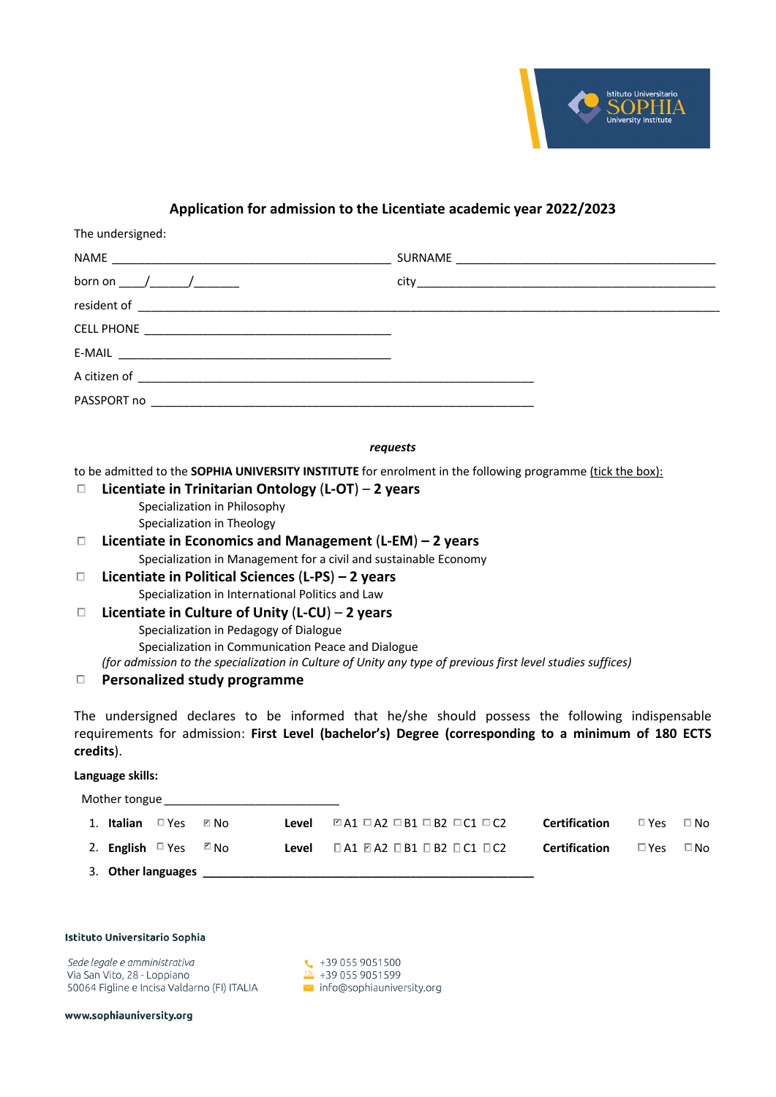

# **Application for admission to the Licentiate academic year 2022/2023**

| The undersigned: |  |
|------------------|--|
|                  |  |
|                  |  |
|                  |  |
|                  |  |
|                  |  |
|                  |  |
|                  |  |
|                  |  |

*requests*

to be admitted to the **SOPHIA UNIVERSITY INSTITUTE** for enrolment in the following programme (tick the box):

- **Licentiate in Trinitarian Ontology** (**L-OT**) **2 years** Specialization in Philosophy Specialization in Theology
- **Licentiate in Economics and Management** (**L-EM**) **– 2 years** Specialization in Management for a civil and sustainable Economy
- **Licentiate in Political Sciences** (**L-PS**) **– 2 years** Specialization in International Politics and Law
- **Licentiate in Culture of Unity** (**L-CU**) **2 years** Specialization in Pedagogy of Dialogue Specialization in Communication Peace and Dialogue *(for admission to the specialization in Culture of Unity any type of previous first level studies suffices)*

## **Personalized study programme**

The undersigned declares to be informed that he/she should possess the following indispensable requirements for admission: **First Level (bachelor's) Degree (corresponding to a minimum of 180 ECTS credits**).

### **Language skills:**

| Mother tongue                |            |      |       |                                                             |                      |            |           |
|------------------------------|------------|------|-------|-------------------------------------------------------------|----------------------|------------|-----------|
| 1. Italian                   | $\Box$ Yes | ⊠ No | Level | $\Box$ A1 $\Box$ A2 $\Box$ B1 $\Box$ B2 $\Box$ C1 $\Box$ C2 | <b>Certification</b> | □ Yes      | $\Box$ No |
| 2. <b>English</b> $\Box$ Yes |            | ⊠ N∩ | Level | — □ А1 И А2 □ В1 □ В2 □ С1 □ С2                             | <b>Certification</b> | $\Box$ Yes | $\Box$ No |
|                              |            |      |       |                                                             |                      |            |           |

#### Istituto Universitario Sophia

Sede legale e amministrativa Via San Vito, 28 - Loppiano 50064 Figline e Incisa Valdarno (FI) ITALIA

 $\leftarrow +390559051500$  $-4390559051599$  $\blacksquare$  info@sophiauniversity.org

www.sophiauniversity.org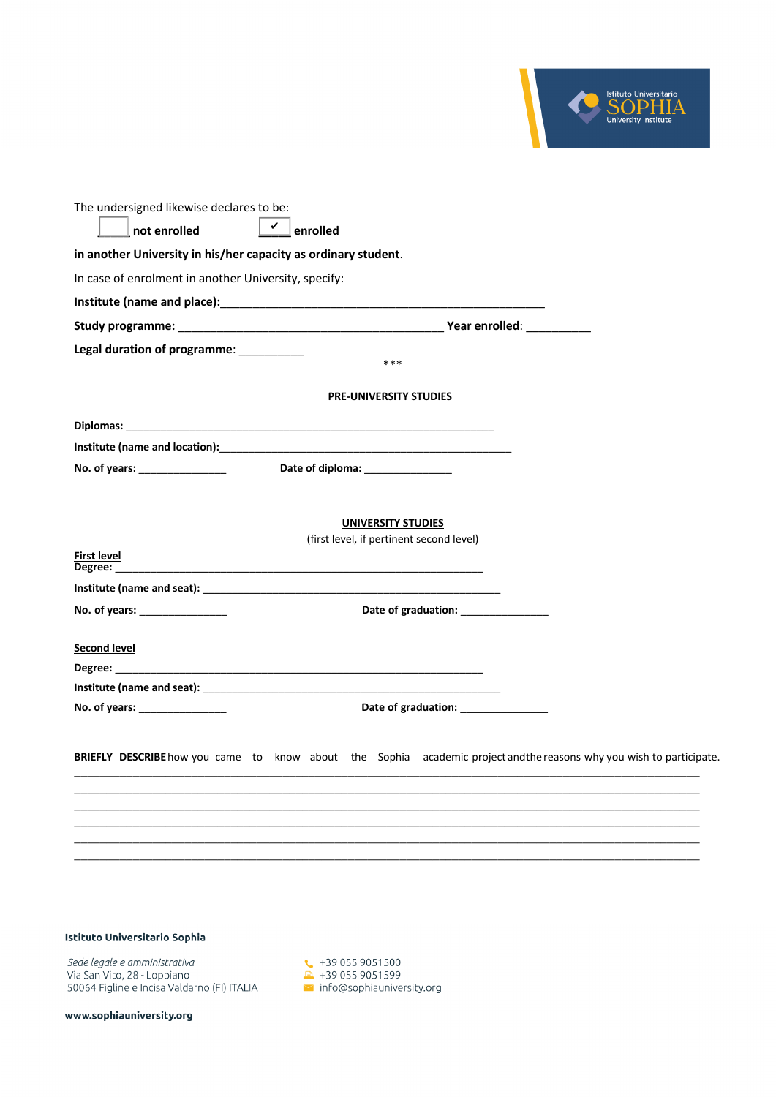

| The undersigned likewise declares to be:                                                                                                                                                                                       |
|--------------------------------------------------------------------------------------------------------------------------------------------------------------------------------------------------------------------------------|
| $\mathbf{v}$ enrolled<br>not enrolled                                                                                                                                                                                          |
| in another University in his/her capacity as ordinary student.                                                                                                                                                                 |
| In case of enrolment in another University, specify:                                                                                                                                                                           |
|                                                                                                                                                                                                                                |
|                                                                                                                                                                                                                                |
| Legal duration of programme: ___________<br>$***$                                                                                                                                                                              |
| <b>PRE-UNIVERSITY STUDIES</b>                                                                                                                                                                                                  |
|                                                                                                                                                                                                                                |
| Institute (name and location): Manual Assemblance and a series of the series of the series of the series of the series of the series of the series of the series of the series of the series of the series of the series of th |
| Date of diploma: Date of diplomation                                                                                                                                                                                           |
|                                                                                                                                                                                                                                |
| <b>UNIVERSITY STUDIES</b>                                                                                                                                                                                                      |
| (first level, if pertinent second level)                                                                                                                                                                                       |
| <b>First level</b>                                                                                                                                                                                                             |
|                                                                                                                                                                                                                                |
| Date of graduation: ______________<br>No. of years: _______________                                                                                                                                                            |
|                                                                                                                                                                                                                                |
| <b>Second level</b>                                                                                                                                                                                                            |
|                                                                                                                                                                                                                                |
| Date of graduation: ________________<br>No. of years: _________________                                                                                                                                                        |
|                                                                                                                                                                                                                                |
| BRIEFLY DESCRIBE how you came to know about the Sophia academic project and the reasons why you wish to participate.                                                                                                           |
|                                                                                                                                                                                                                                |
|                                                                                                                                                                                                                                |

## Istituto Universitario Sophia

*Sede legale e amministrativa*<br>Via San Vito, 28 - Loppiano 50064 Figline e Incisa Valdarno (FI) ITALIA  $\begin{array}{ll} \text{C} & +39\ 055\ 9051500 & \text{D} & +39\ 055\ 9051599 & \text{info@sophiauniversity.org} \end{array}$ 

www.sophiauniversity.org